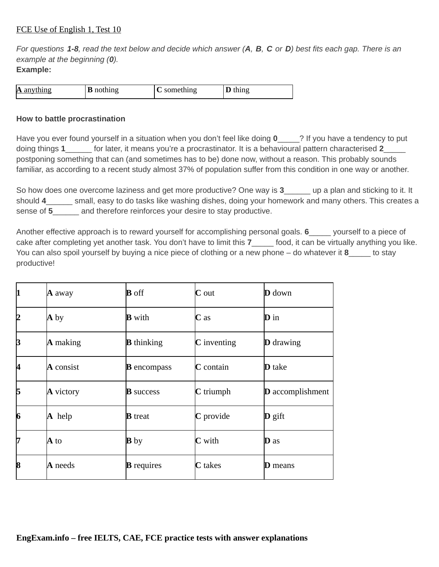*For questions 1-8, read the text below and decide which answer (А, В, C or D) best fits each gap. There is an example at the beginning (0).* **Example:**

| $\bf{A}$ anything | <b>B</b> nothing | ≅omething | thing |
|-------------------|------------------|-----------|-------|

## **How to battle procrastination**

Have you ever found yourself in a situation when you don't feel like doing **0**\_\_\_\_\_? If you have a tendency to put doing things **1**\_\_\_\_\_\_ for later, it means you're a procrastinator. It is a behavioural pattern characterised **2**\_\_\_\_\_ postponing something that can (and sometimes has to be) done now, without a reason. This probably sounds familiar, as according to a recent study almost 37% of population suffer from this condition in one way or another.

So how does one overcome laziness and get more productive? One way is **3** \_\_\_\_\_ up a plan and sticking to it. It should 4 \_\_\_\_\_\_ small, easy to do tasks like washing dishes, doing your homework and many others. This creates a sense of **5** and therefore reinforces your desire to stay productive.

Another effective approach is to reward yourself for accomplishing personal goals. **6**\_\_\_\_\_ yourself to a piece of cake after completing yet another task. You don't have to limit this 7 food, it can be virtually anything you like. You can also spoil yourself by buying a nice piece of clothing or a new phone – do whatever it **8**\_\_\_\_\_ to stay productive!

| 1  | $\bf{A}$ away    | <b>B</b> off       | $\mathbf C$ out    | <b>D</b> down           |
|----|------------------|--------------------|--------------------|-------------------------|
| 12 | A by             | <b>B</b> with      | $C$ as             | <b>D</b> in             |
| β  | $\bf{A}$ making  | <b>B</b> thinking  | <b>C</b> inventing | <b>D</b> drawing        |
| 4  | A consist        | <b>B</b> encompass | $C$ contain        | <b>D</b> take           |
| 15 | $\bf{A}$ victory | <b>B</b> success   | $C$ triumph        | <b>D</b> accomplishment |
| 6  | $\bf{A}$ help    | <b>B</b> treat     | C provide          | $\mathbf{D}$ gift       |
| 17 | $A$ to           | <b>B</b> by        | <b>C</b> with      | <b>D</b> as             |
| 8  | A needs          | <b>B</b> requires  | <b>C</b> takes     | <b>D</b> means          |